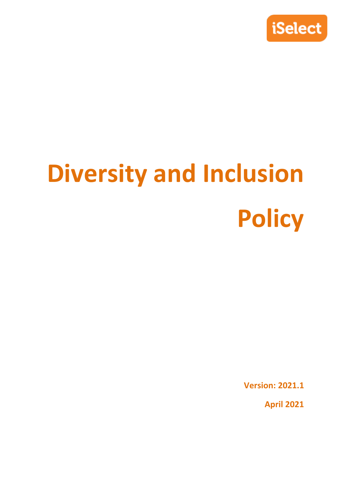

# **Diversity and Inclusion Policy**

**Version: 2021.1**

**April 2021**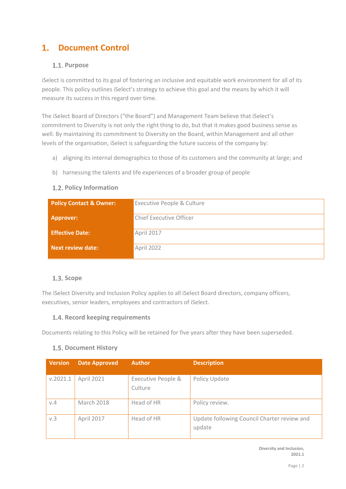# **Document Control**

# **Purpose**

iSelect is committed to its goal of fostering an inclusive and equitable work environment for all of its people. This policy outlines iSelect's strategy to achieve this goal and the means by which it will measure its success in this regard over time.

The iSelect Board of Directors ("the Board") and Management Team believe that iSelect's commitment to Diversity is not only the right thing to do, but that it makes good business sense as well. By maintaining its commitment to Diversity on the Board, within Management and all other levels of the organisation, iSelect is safeguarding the future success of the company by:

- a) aligning its internal demographics to those of its customers and the community at large; and
- b) harnessing the talents and life experiences of a broader group of people

## **1.2. Policy Information**

| <b>Policy Contact &amp; Owner:</b> | Executive People & Culture |  |
|------------------------------------|----------------------------|--|
| <b>Approver:</b>                   | Chief Executive Officer    |  |
| <b>Effective Date:</b>             | April 2017                 |  |
| <b>Next review date:</b>           | April 2022                 |  |

#### **1.3. Scope**

The iSelect Diversity and Inclusion Policy applies to all iSelect Board directors, company officers, executives, senior leaders, employees and contractors of iSelect.

# **1.4. Record keeping requirements**

Documents relating to this Policy will be retained for five years after they have been superseded.

# **1.5. Document History**

| <b>Version</b> | <b>Date Approved</b> | <b>Author</b>                            | <b>Description</b>                                    |
|----------------|----------------------|------------------------------------------|-------------------------------------------------------|
| v.2021.1       | April 2021           | <b>Executive People &amp;</b><br>Culture | Policy Update                                         |
| V.4            | <b>March 2018</b>    | Head of HR                               | Policy review.                                        |
| v.3            | April 2017           | Head of HR                               | Update following Council Charter review and<br>update |

**Diversity and Inclusion, 2021.1**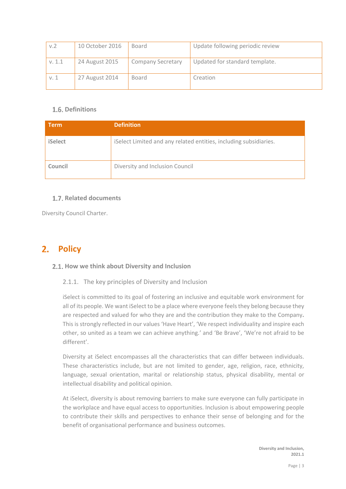| v.2    | 10 October 2016 | Board                    | Update following periodic review |
|--------|-----------------|--------------------------|----------------------------------|
| V. 1.1 | 24 August 2015  | <b>Company Secretary</b> | Updated for standard template.   |
| v. 1   | 27 August 2014  | <b>Board</b>             | Creation                         |

# **1.6. Definitions**

| <b>Term</b>    | <b>Definition</b>                                                 |  |
|----------------|-------------------------------------------------------------------|--|
| <b>iSelect</b> | iSelect Limited and any related entities, including subsidiaries. |  |
| Council        | Diversity and Inclusion Council                                   |  |

# **Related documents**

Diversity Council Charter.

# 2. **Policy**

#### **How we think about Diversity and Inclusion**

#### 2.1.1. The key principles of Diversity and Inclusion

iSelect is committed to its goal of fostering an inclusive and equitable work environment for all of its people. We want iSelect to be a place where everyone feels they belong because they are respected and valued for who they are and the contribution they make to the Company**.** This is strongly reflected in our values 'Have Heart', 'We respect individuality and inspire each other, so united as a team we can achieve anything.' and 'Be Brave', 'We're not afraid to be different'.

Diversity at iSelect encompasses all the characteristics that can differ between individuals. These characteristics include, but are not limited to gender, age, religion, race, ethnicity, language, sexual orientation, marital or relationship status, physical disability, mental or intellectual disability and political opinion.

At iSelect, diversity is about removing barriers to make sure everyone can fully participate in the workplace and have equal access to opportunities. Inclusion is about empowering people to contribute their skills and perspectives to enhance their sense of belonging and for the benefit of organisational performance and business outcomes.

> **Diversity and Inclusion, 2021.1**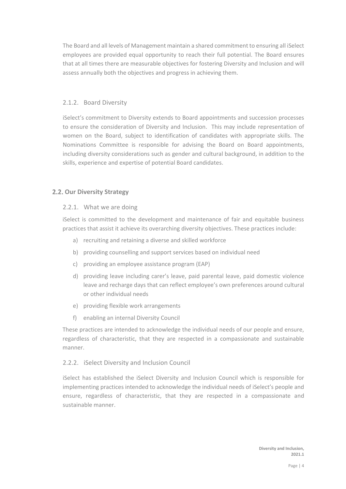The Board and all levels of Management maintain a shared commitment to ensuring all iSelect employees are provided equal opportunity to reach their full potential. The Board ensures that at all times there are measurable objectives for fostering Diversity and Inclusion and will assess annually both the objectives and progress in achieving them.

## 2.1.2. Board Diversity

iSelect's commitment to Diversity extends to Board appointments and succession processes to ensure the consideration of Diversity and Inclusion. This may include representation of women on the Board, subject to identification of candidates with appropriate skills. The Nominations Committee is responsible for advising the Board on Board appointments, including diversity considerations such as gender and cultural background, in addition to the skills, experience and expertise of potential Board candidates.

## **2.2. Our Diversity Strategy**

#### 2.2.1. What we are doing

iSelect is committed to the development and maintenance of fair and equitable business practices that assist it achieve its overarching diversity objectives. These practices include:

- a) recruiting and retaining a diverse and skilled workforce
- b) providing counselling and support services based on individual need
- c) providing an employee assistance program (EAP)
- d) providing leave including carer's leave, paid parental leave, paid domestic violence leave and recharge days that can reflect employee's own preferences around cultural or other individual needs
- e) providing flexible work arrangements
- f) enabling an internal Diversity Council

These practices are intended to acknowledge the individual needs of our people and ensure, regardless of characteristic, that they are respected in a compassionate and sustainable manner.

#### 2.2.2. iSelect Diversity and Inclusion Council

iSelect has established the iSelect Diversity and Inclusion Council which is responsible for implementing practices intended to acknowledge the individual needs of iSelect's people and ensure, regardless of characteristic, that they are respected in a compassionate and sustainable manner.